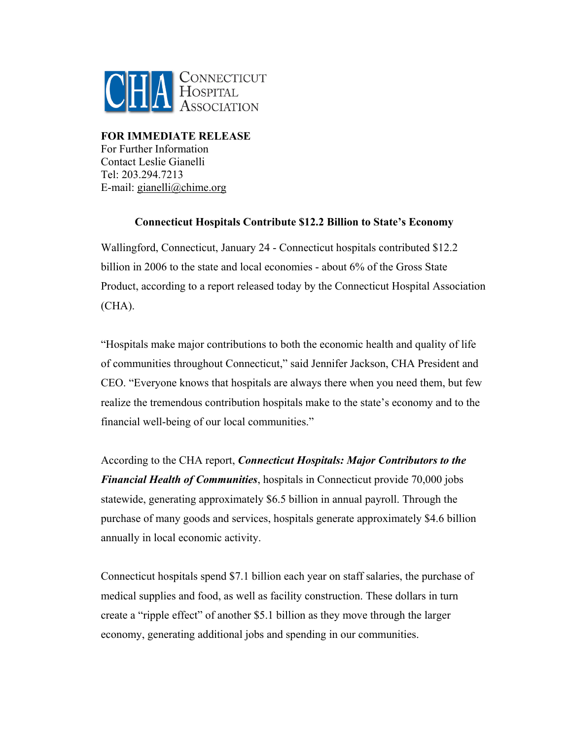

**FOR IMMEDIATE RELEASE**  For Further Information Contact Leslie Gianelli Tel: 203.294.7213 E-mail: gianelli@chime.org

## **Connecticut Hospitals Contribute \$12.2 Billion to State's Economy**

Wallingford, Connecticut, January 24 - Connecticut hospitals contributed \$12.2 billion in 2006 to the state and local economies - about 6% of the Gross State Product, according to a report released today by the Connecticut Hospital Association  $(CHA).$ 

"Hospitals make major contributions to both the economic health and quality of life of communities throughout Connecticut," said Jennifer Jackson, CHA President and CEO. "Everyone knows that hospitals are always there when you need them, but few realize the tremendous contribution hospitals make to the state's economy and to the financial well-being of our local communities."

According to the CHA report, *Connecticut Hospitals: Major Contributors to the Financial Health of Communities*, hospitals in Connecticut provide 70,000 jobs statewide, generating approximately \$6.5 billion in annual payroll. Through the purchase of many goods and services, hospitals generate approximately \$4.6 billion annually in local economic activity.

Connecticut hospitals spend \$7.1 billion each year on staff salaries, the purchase of medical supplies and food, as well as facility construction. These dollars in turn create a "ripple effect" of another \$5.1 billion as they move through the larger economy, generating additional jobs and spending in our communities.